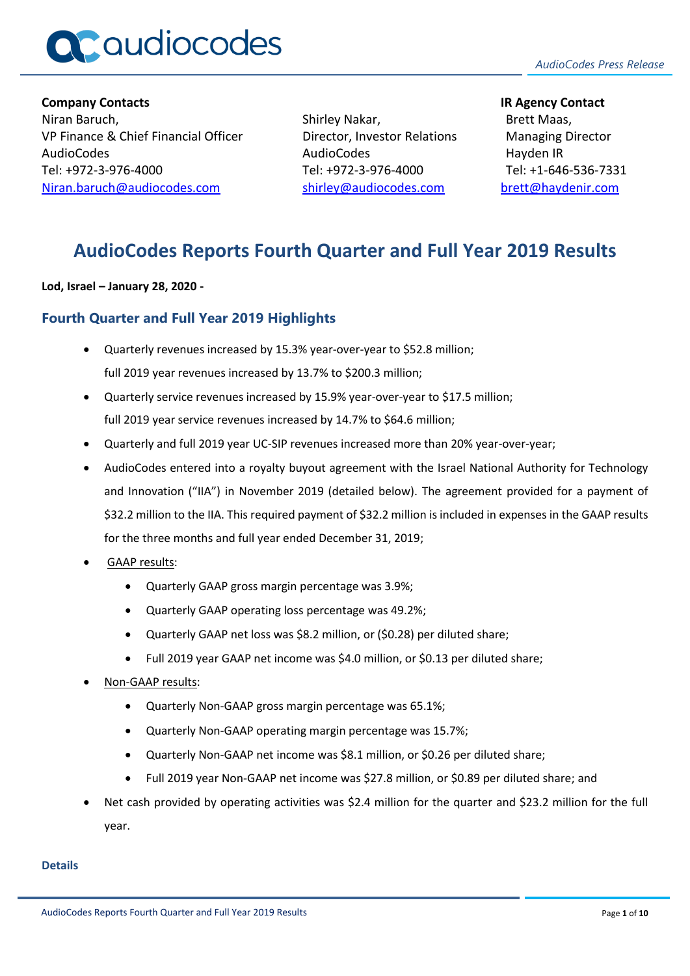

**Company Contacts IR Agency Contact** Niran Baruch, VP Finance & Chief Financial Officer AudioCodes Tel: +972-3-976-4000 [Niran.baruch@audiocodes.com](mailto:Niran.baruch@audiocodes.com)

Shirley Nakar, Director, Investor Relations AudioCodes Tel: +972-3-976-4000 [shirley@audiocodes.com](mailto:shirley@audiocodes.com)

Brett Maas, Managing Director Hayden IR Tel: +1-646-536-7331 [brett@haydenir.com](mailto:brett@haydenir.com)

# **AudioCodes Reports Fourth Quarter and Full Year 2019 Results**

**Lod, Israel – January 28, 2020 -**

# **Fourth Quarter and Full Year 2019 Highlights**

- Quarterly revenues increased by 15.3% year-over-year to \$52.8 million; full 2019 year revenues increased by 13.7% to \$200.3 million;
- Quarterly service revenues increased by 15.9% year-over-year to \$17.5 million; full 2019 year service revenues increased by 14.7% to \$64.6 million;
- Quarterly and full 2019 year UC-SIP revenues increased more than 20% year-over-year;
- AudioCodes entered into a royalty buyout agreement with the Israel National Authority for Technology and Innovation ("IIA") in November 2019 (detailed below). The agreement provided for a payment of \$32.2 million to the IIA. This required payment of \$32.2 million is included in expenses in the GAAP results for the three months and full year ended December 31, 2019;
- GAAP results:
	- Quarterly GAAP gross margin percentage was 3.9%;
	- Quarterly GAAP operating loss percentage was 49.2%;
	- Quarterly GAAP net loss was \$8.2 million, or (\$0.28) per diluted share;
	- Full 2019 year GAAP net income was \$4.0 million, or \$0.13 per diluted share;
- Non-GAAP results:
	- Quarterly Non-GAAP gross margin percentage was 65.1%;
	- Quarterly Non-GAAP operating margin percentage was 15.7%;
	- Quarterly Non-GAAP net income was \$8.1 million, or \$0.26 per diluted share;
	- Full 2019 year Non-GAAP net income was \$27.8 million, or \$0.89 per diluted share; and
- Net cash provided by operating activities was \$2.4 million for the quarter and \$23.2 million for the full year.

#### **Details**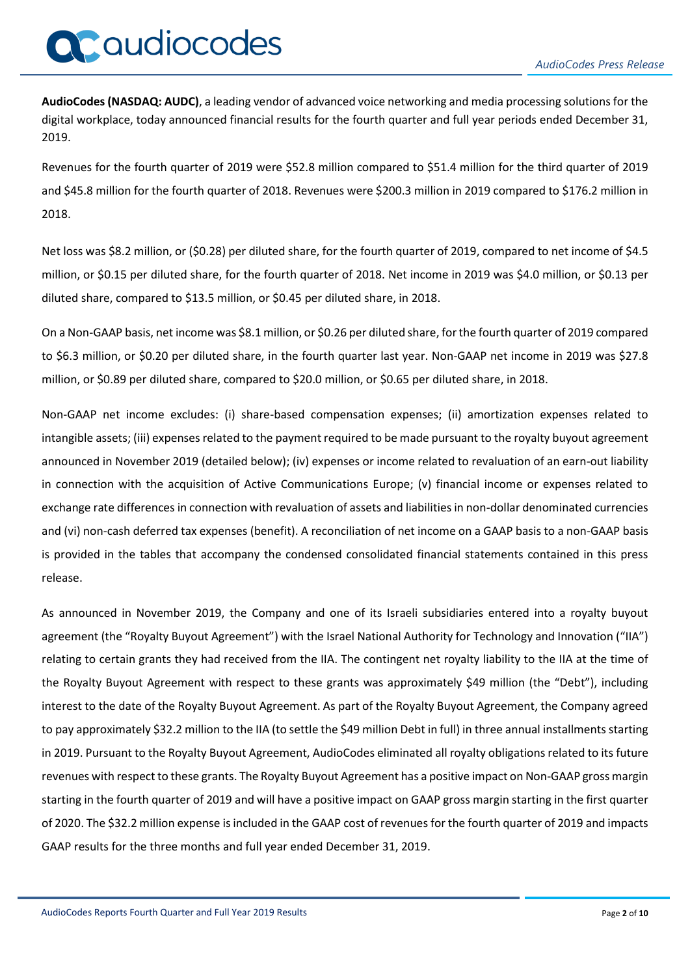**AudioCodes (NASDAQ: AUDC)**, a leading vendor of advanced voice networking and media processing solutions for the digital workplace, today announced financial results for the fourth quarter and full year periods ended December 31, 2019.

Revenues for the fourth quarter of 2019 were \$52.8 million compared to \$51.4 million for the third quarter of 2019 and \$45.8 million for the fourth quarter of 2018. Revenues were \$200.3 million in 2019 compared to \$176.2 million in 2018.

Net loss was \$8.2 million, or (\$0.28) per diluted share, for the fourth quarter of 2019, compared to net income of \$4.5 million, or \$0.15 per diluted share, for the fourth quarter of 2018. Net income in 2019 was \$4.0 million, or \$0.13 per diluted share, compared to \$13.5 million, or \$0.45 per diluted share, in 2018.

On a Non-GAAP basis, net income was \$8.1 million, or \$0.26 per diluted share, for the fourth quarter of 2019 compared to \$6.3 million, or \$0.20 per diluted share, in the fourth quarter last year. Non-GAAP net income in 2019 was \$27.8 million, or \$0.89 per diluted share, compared to \$20.0 million, or \$0.65 per diluted share, in 2018.

Non-GAAP net income excludes: (i) share-based compensation expenses; (ii) amortization expenses related to intangible assets; (iii) expenses related to the payment required to be made pursuant to the royalty buyout agreement announced in November 2019 (detailed below); (iv) expenses or income related to revaluation of an earn-out liability in connection with the acquisition of Active Communications Europe; (v) financial income or expenses related to exchange rate differences in connection with revaluation of assets and liabilities in non-dollar denominated currencies and (vi) non-cash deferred tax expenses (benefit). A reconciliation of net income on a GAAP basis to a non-GAAP basis is provided in the tables that accompany the condensed consolidated financial statements contained in this press release.

As announced in November 2019, the Company and one of its Israeli subsidiaries entered into a royalty buyout agreement (the "Royalty Buyout Agreement") with the Israel National Authority for Technology and Innovation ("IIA") relating to certain grants they had received from the IIA. The contingent net royalty liability to the IIA at the time of the Royalty Buyout Agreement with respect to these grants was approximately \$49 million (the "Debt"), including interest to the date of the Royalty Buyout Agreement. As part of the Royalty Buyout Agreement, the Company agreed to pay approximately \$32.2 million to the IIA (to settle the \$49 million Debt in full) in three annual installments starting in 2019. Pursuant to the Royalty Buyout Agreement, AudioCodes eliminated all royalty obligations related to its future revenues with respect to these grants. The Royalty Buyout Agreement has a positive impact on Non-GAAP gross margin starting in the fourth quarter of 2019 and will have a positive impact on GAAP gross margin starting in the first quarter of 2020. The \$32.2 million expense is included in the GAAP cost of revenuesfor the fourth quarter of 2019 and impacts GAAP results for the three months and full year ended December 31, 2019.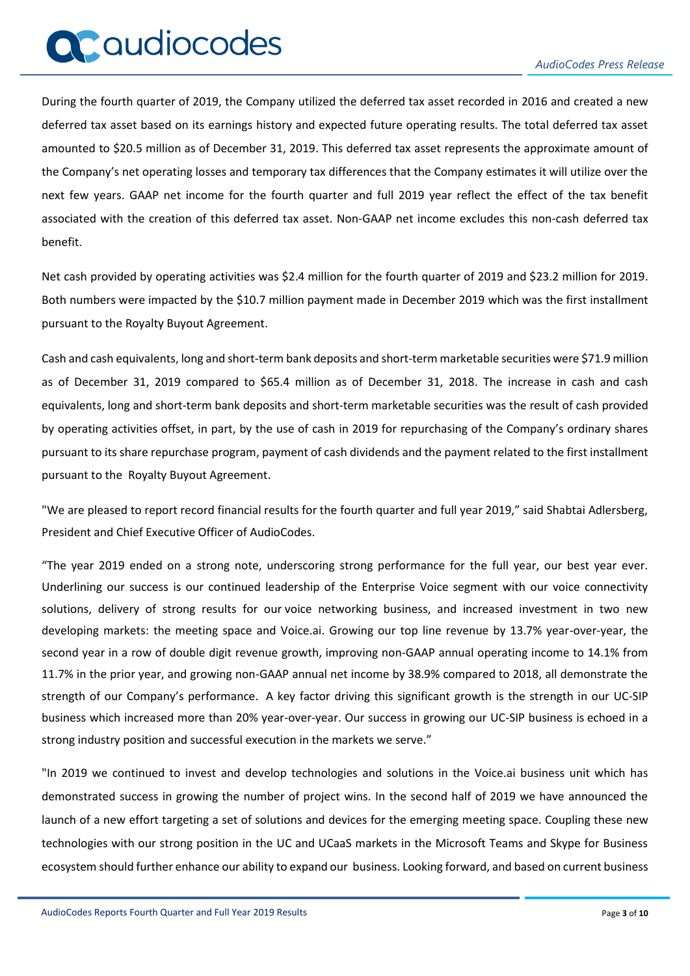

During the fourth quarter of 2019, the Company utilized the deferred tax asset recorded in 2016 and created a new deferred tax asset based on its earnings history and expected future operating results. The total deferred tax asset amounted to \$20.5 million as of December 31, 2019. This deferred tax asset represents the approximate amount of the Company's net operating losses and temporary tax differences that the Company estimates it will utilize over the next few years. GAAP net income for the fourth quarter and full 2019 year reflect the effect of the tax benefit associated with the creation of this deferred tax asset. Non-GAAP net income excludes this non-cash deferred tax benefit.

Net cash provided by operating activities was \$2.4 million for the fourth quarter of 2019 and \$23.2 million for 2019. Both numbers were impacted by the \$10.7 million payment made in December 2019 which was the first installment pursuant to the Royalty Buyout Agreement.

Cash and cash equivalents, long and short-term bank deposits and short-term marketable securities were \$71.9 million as of December 31, 2019 compared to \$65.4 million as of December 31, 2018. The increase in cash and cash equivalents, long and short-term bank deposits and short-term marketable securities was the result of cash provided by operating activities offset, in part, by the use of cash in 2019 for repurchasing of the Company's ordinary shares pursuant to its share repurchase program, payment of cash dividends and the payment related to the first installment pursuant to the Royalty Buyout Agreement.

"We are pleased to report record financial results for the fourth quarter and full year 2019," said Shabtai Adlersberg, President and Chief Executive Officer of AudioCodes.

"The year 2019 ended on a strong note, underscoring strong performance for the full year, our best year ever. Underlining our success is our continued leadership of the Enterprise Voice segment with our voice connectivity solutions, delivery of strong results for our voice networking business, and increased investment in two new developing markets: the meeting space and Voice.ai. Growing our top line revenue by 13.7% year-over-year, the second year in a row of double digit revenue growth, improving non-GAAP annual operating income to 14.1% from 11.7% in the prior year, and growing non-GAAP annual net income by 38.9% compared to 2018, all demonstrate the strength of our Company's performance. A key factor driving this significant growth is the strength in our UC-SIP business which increased more than 20% year-over-year. Our success in growing our UC-SIP business is echoed in a strong industry position and successful execution in the markets we serve."

"In 2019 we continued to invest and develop technologies and solutions in the Voice.ai business unit which has demonstrated success in growing the number of project wins. In the second half of 2019 we have announced the launch of a new effort targeting a set of solutions and devices for the emerging meeting space. Coupling these new technologies with our strong position in the UC and UCaaS markets in the Microsoft Teams and Skype for Business ecosystem should further enhance our ability to expand our business. Looking forward, and based on current business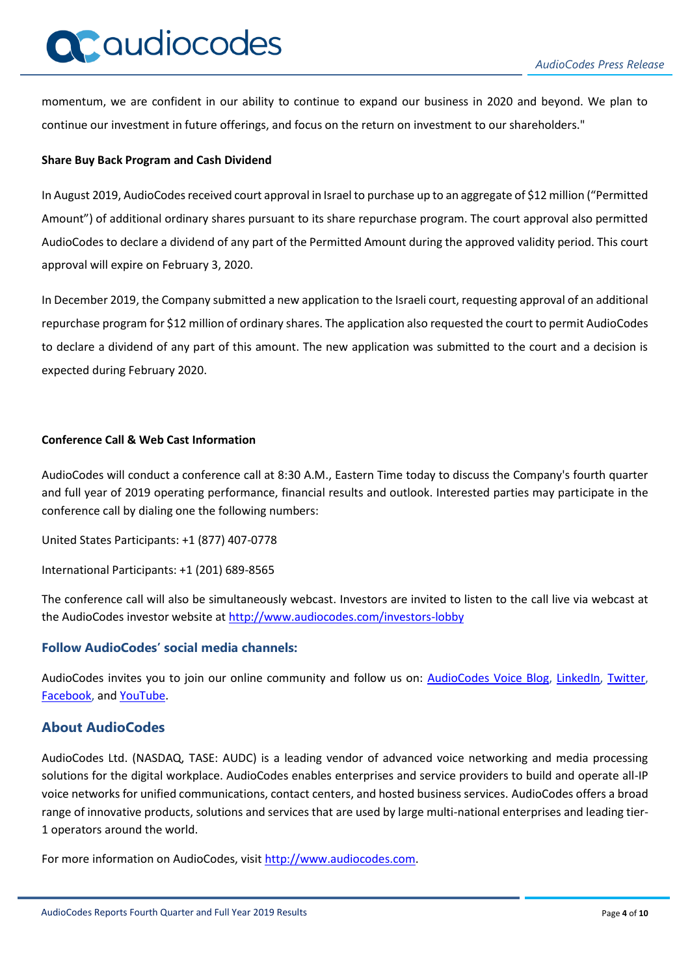

momentum, we are confident in our ability to continue to expand our business in 2020 and beyond. We plan to continue our investment in future offerings, and focus on the return on investment to our shareholders."

#### **Share Buy Back Program and Cash Dividend**

In August 2019, AudioCodes received court approval in Israel to purchase up to an aggregate of \$12 million ("Permitted Amount") of additional ordinary shares pursuant to its share repurchase program. The court approval also permitted AudioCodes to declare a dividend of any part of the Permitted Amount during the approved validity period. This court approval will expire on February 3, 2020.

In December 2019, the Company submitted a new application to the Israeli court, requesting approval of an additional repurchase program for \$12 million of ordinary shares. The application also requested the court to permit AudioCodes to declare a dividend of any part of this amount. The new application was submitted to the court and a decision is expected during February 2020.

#### **Conference Call & Web Cast Information**

AudioCodes will conduct a conference call at 8:30 A.M., Eastern Time today to discuss the Company's fourth quarter and full year of 2019 operating performance, financial results and outlook. Interested parties may participate in the conference call by dialing one the following numbers:

United States Participants: +1 (877) 407-0778

International Participants: +1 (201) 689-8565

The conference call will also be simultaneously webcast. Investors are invited to listen to the call live via webcast at the AudioCodes investor website at<http://www.audiocodes.com/investors-lobby>

#### **Follow AudioCodes' social media channels:**

AudioCodes invites you to join our online community and follow us on: [AudioCodes Voice Blog,](http://blog.audiocodes.com/) [LinkedIn,](http://www.linkedin.com/companies/audiocodes) [Twitter,](http://www.twitter.com/audiocodes) [Facebook,](http://www.facebook.com/audiocodes) and [YouTube.](http://www.youtube.com/user/audioserge)

#### **About AudioCodes**

AudioCodes Ltd. (NASDAQ, TASE: AUDC) is a leading vendor of advanced voice networking and media processing solutions for the digital workplace. AudioCodes enables enterprises and service providers to build and operate all-IP voice networks for unified communications, contact centers, and hosted business services. AudioCodes offers a broad range of innovative products, solutions and services that are used by large multi-national enterprises and leading tier-1 operators around the world.

For more information on AudioCodes, visi[t http://www.audiocodes.com.](http://www.audiocodes.com/)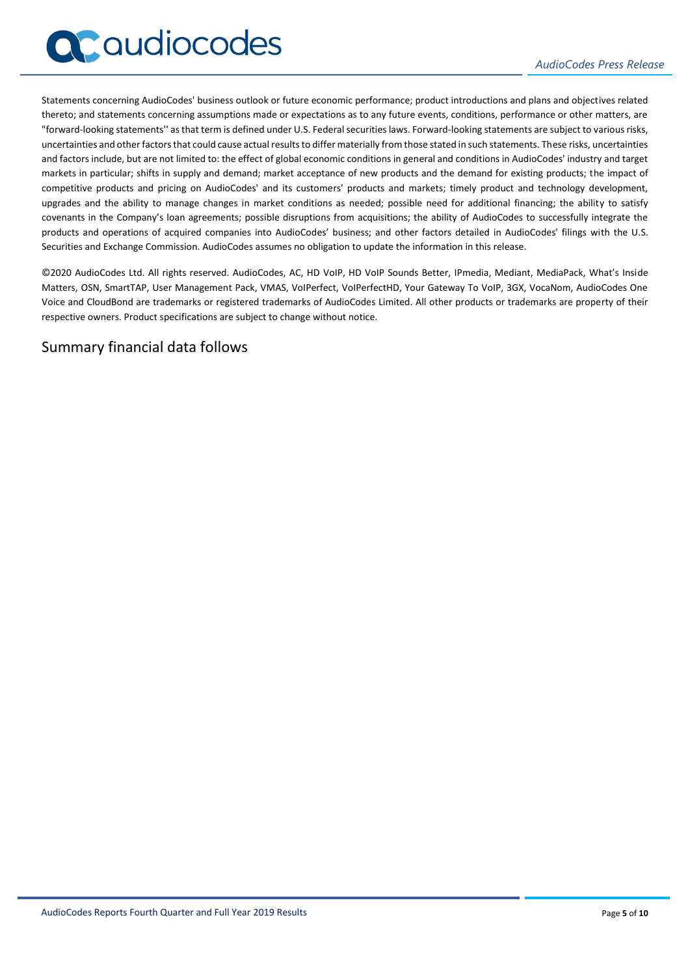

Statements concerning AudioCodes' business outlook or future economic performance; product introductions and plans and objectives related thereto; and statements concerning assumptions made or expectations as to any future events, conditions, performance or other matters, are "forward-looking statements'' as that term is defined under U.S. Federal securities laws. Forward-looking statements are subject to various risks, uncertainties and other factors that could cause actual results to differ materially from those stated in such statements. These risks, uncertainties and factors include, but are not limited to: the effect of global economic conditions in general and conditions in AudioCodes' industry and target markets in particular; shifts in supply and demand; market acceptance of new products and the demand for existing products; the impact of competitive products and pricing on AudioCodes' and its customers' products and markets; timely product and technology development, upgrades and the ability to manage changes in market conditions as needed; possible need for additional financing; the ability to satisfy covenants in the Company's loan agreements; possible disruptions from acquisitions; the ability of AudioCodes to successfully integrate the products and operations of acquired companies into AudioCodes' business; and other factors detailed in AudioCodes' filings with the U.S. Securities and Exchange Commission. AudioCodes assumes no obligation to update the information in this release.

©2020 AudioCodes Ltd. All rights reserved. AudioCodes, AC, HD VoIP, HD VoIP Sounds Better, IPmedia, Mediant, MediaPack, What's Inside Matters, OSN, SmartTAP, User Management Pack, VMAS, VoIPerfect, VoIPerfectHD, Your Gateway To VoIP, 3GX, VocaNom, AudioCodes One Voice and CloudBond are trademarks or registered trademarks of AudioCodes Limited. All other products or trademarks are property of their respective owners. Product specifications are subject to change without notice.

# Summary financial data follows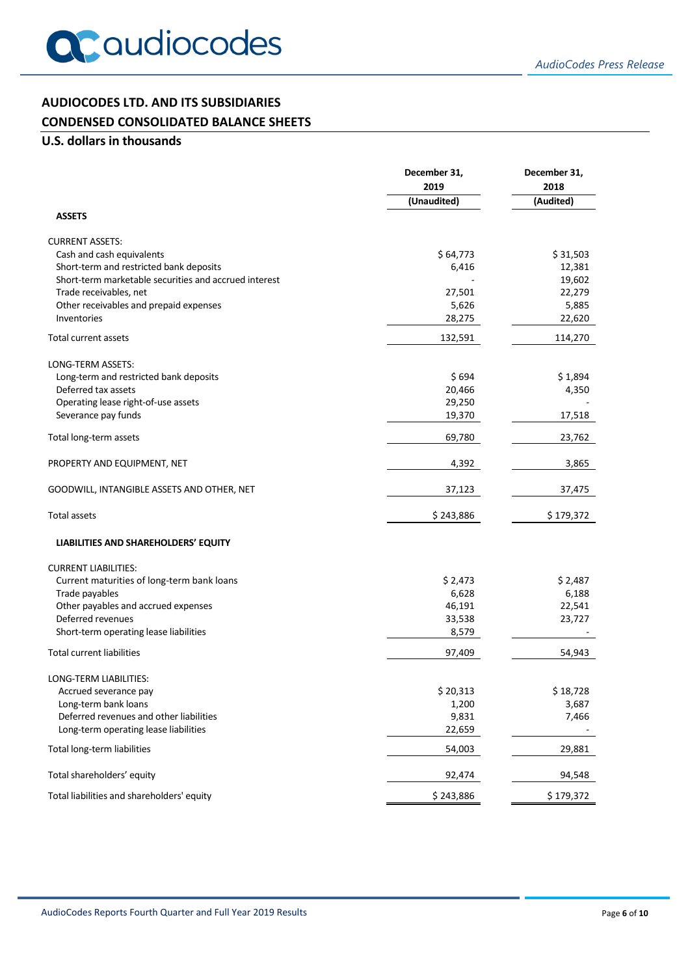# **CONDENSED CONSOLIDATED BALANCE SHEETS**

### **U.S. dollars in thousands**

| (Unaudited)<br>(Audited)<br><b>ASSETS</b><br><b>CURRENT ASSETS:</b><br>\$64,773<br>Cash and cash equivalents<br>\$31,503<br>Short-term and restricted bank deposits<br>6,416<br>12,381<br>Short-term marketable securities and accrued interest<br>19,602<br>22,279<br>Trade receivables, net<br>27,501<br>Other receivables and prepaid expenses<br>5,626<br>5,885<br>Inventories<br>22,620<br>28,275<br>132,591<br>114,270<br>Total current assets<br>LONG-TERM ASSETS:<br>\$694<br>\$1,894<br>Long-term and restricted bank deposits<br>Deferred tax assets<br>20,466<br>4,350<br>Operating lease right-of-use assets<br>29,250<br>Severance pay funds<br>19,370<br>17,518<br>69,780<br>23,762<br>Total long-term assets<br>4,392<br>3,865<br>PROPERTY AND EQUIPMENT, NET<br>37,123<br>GOODWILL, INTANGIBLE ASSETS AND OTHER, NET<br>37,475<br>\$243,886<br>\$179,372<br><b>Total assets</b><br>LIABILITIES AND SHAREHOLDERS' EQUITY<br><b>CURRENT LIABILITIES:</b><br>\$2,473<br>\$2,487<br>Current maturities of long-term bank loans<br>6,628<br>6,188<br>Trade payables<br>Other payables and accrued expenses<br>22,541<br>46,191<br>Deferred revenues<br>33,538<br>23,727<br>Short-term operating lease liabilities<br>8,579<br><b>Total current liabilities</b><br>97,409<br>54,943<br><b>LONG-TERM LIABILITIES:</b><br>\$20,313<br>\$18,728<br>Accrued severance pay<br>Long-term bank loans<br>1,200<br>3,687<br>Deferred revenues and other liabilities<br>9,831<br>7,466<br>Long-term operating lease liabilities<br>22,659<br>Total long-term liabilities<br>54,003<br>29,881<br>Total shareholders' equity<br>92,474<br>94,548<br>\$243,886<br>\$179,372<br>Total liabilities and shareholders' equity | December 31,<br>2019 | December 31,<br>2018 |  |
|------------------------------------------------------------------------------------------------------------------------------------------------------------------------------------------------------------------------------------------------------------------------------------------------------------------------------------------------------------------------------------------------------------------------------------------------------------------------------------------------------------------------------------------------------------------------------------------------------------------------------------------------------------------------------------------------------------------------------------------------------------------------------------------------------------------------------------------------------------------------------------------------------------------------------------------------------------------------------------------------------------------------------------------------------------------------------------------------------------------------------------------------------------------------------------------------------------------------------------------------------------------------------------------------------------------------------------------------------------------------------------------------------------------------------------------------------------------------------------------------------------------------------------------------------------------------------------------------------------------------------------------------------------------------------------------------------------------------|----------------------|----------------------|--|
|                                                                                                                                                                                                                                                                                                                                                                                                                                                                                                                                                                                                                                                                                                                                                                                                                                                                                                                                                                                                                                                                                                                                                                                                                                                                                                                                                                                                                                                                                                                                                                                                                                                                                                                        |                      |                      |  |
|                                                                                                                                                                                                                                                                                                                                                                                                                                                                                                                                                                                                                                                                                                                                                                                                                                                                                                                                                                                                                                                                                                                                                                                                                                                                                                                                                                                                                                                                                                                                                                                                                                                                                                                        |                      |                      |  |
|                                                                                                                                                                                                                                                                                                                                                                                                                                                                                                                                                                                                                                                                                                                                                                                                                                                                                                                                                                                                                                                                                                                                                                                                                                                                                                                                                                                                                                                                                                                                                                                                                                                                                                                        |                      |                      |  |
|                                                                                                                                                                                                                                                                                                                                                                                                                                                                                                                                                                                                                                                                                                                                                                                                                                                                                                                                                                                                                                                                                                                                                                                                                                                                                                                                                                                                                                                                                                                                                                                                                                                                                                                        |                      |                      |  |
|                                                                                                                                                                                                                                                                                                                                                                                                                                                                                                                                                                                                                                                                                                                                                                                                                                                                                                                                                                                                                                                                                                                                                                                                                                                                                                                                                                                                                                                                                                                                                                                                                                                                                                                        |                      |                      |  |
|                                                                                                                                                                                                                                                                                                                                                                                                                                                                                                                                                                                                                                                                                                                                                                                                                                                                                                                                                                                                                                                                                                                                                                                                                                                                                                                                                                                                                                                                                                                                                                                                                                                                                                                        |                      |                      |  |
|                                                                                                                                                                                                                                                                                                                                                                                                                                                                                                                                                                                                                                                                                                                                                                                                                                                                                                                                                                                                                                                                                                                                                                                                                                                                                                                                                                                                                                                                                                                                                                                                                                                                                                                        |                      |                      |  |
|                                                                                                                                                                                                                                                                                                                                                                                                                                                                                                                                                                                                                                                                                                                                                                                                                                                                                                                                                                                                                                                                                                                                                                                                                                                                                                                                                                                                                                                                                                                                                                                                                                                                                                                        |                      |                      |  |
|                                                                                                                                                                                                                                                                                                                                                                                                                                                                                                                                                                                                                                                                                                                                                                                                                                                                                                                                                                                                                                                                                                                                                                                                                                                                                                                                                                                                                                                                                                                                                                                                                                                                                                                        |                      |                      |  |
|                                                                                                                                                                                                                                                                                                                                                                                                                                                                                                                                                                                                                                                                                                                                                                                                                                                                                                                                                                                                                                                                                                                                                                                                                                                                                                                                                                                                                                                                                                                                                                                                                                                                                                                        |                      |                      |  |
|                                                                                                                                                                                                                                                                                                                                                                                                                                                                                                                                                                                                                                                                                                                                                                                                                                                                                                                                                                                                                                                                                                                                                                                                                                                                                                                                                                                                                                                                                                                                                                                                                                                                                                                        |                      |                      |  |
|                                                                                                                                                                                                                                                                                                                                                                                                                                                                                                                                                                                                                                                                                                                                                                                                                                                                                                                                                                                                                                                                                                                                                                                                                                                                                                                                                                                                                                                                                                                                                                                                                                                                                                                        |                      |                      |  |
|                                                                                                                                                                                                                                                                                                                                                                                                                                                                                                                                                                                                                                                                                                                                                                                                                                                                                                                                                                                                                                                                                                                                                                                                                                                                                                                                                                                                                                                                                                                                                                                                                                                                                                                        |                      |                      |  |
|                                                                                                                                                                                                                                                                                                                                                                                                                                                                                                                                                                                                                                                                                                                                                                                                                                                                                                                                                                                                                                                                                                                                                                                                                                                                                                                                                                                                                                                                                                                                                                                                                                                                                                                        |                      |                      |  |
|                                                                                                                                                                                                                                                                                                                                                                                                                                                                                                                                                                                                                                                                                                                                                                                                                                                                                                                                                                                                                                                                                                                                                                                                                                                                                                                                                                                                                                                                                                                                                                                                                                                                                                                        |                      |                      |  |
|                                                                                                                                                                                                                                                                                                                                                                                                                                                                                                                                                                                                                                                                                                                                                                                                                                                                                                                                                                                                                                                                                                                                                                                                                                                                                                                                                                                                                                                                                                                                                                                                                                                                                                                        |                      |                      |  |
|                                                                                                                                                                                                                                                                                                                                                                                                                                                                                                                                                                                                                                                                                                                                                                                                                                                                                                                                                                                                                                                                                                                                                                                                                                                                                                                                                                                                                                                                                                                                                                                                                                                                                                                        |                      |                      |  |
|                                                                                                                                                                                                                                                                                                                                                                                                                                                                                                                                                                                                                                                                                                                                                                                                                                                                                                                                                                                                                                                                                                                                                                                                                                                                                                                                                                                                                                                                                                                                                                                                                                                                                                                        |                      |                      |  |
|                                                                                                                                                                                                                                                                                                                                                                                                                                                                                                                                                                                                                                                                                                                                                                                                                                                                                                                                                                                                                                                                                                                                                                                                                                                                                                                                                                                                                                                                                                                                                                                                                                                                                                                        |                      |                      |  |
|                                                                                                                                                                                                                                                                                                                                                                                                                                                                                                                                                                                                                                                                                                                                                                                                                                                                                                                                                                                                                                                                                                                                                                                                                                                                                                                                                                                                                                                                                                                                                                                                                                                                                                                        |                      |                      |  |
|                                                                                                                                                                                                                                                                                                                                                                                                                                                                                                                                                                                                                                                                                                                                                                                                                                                                                                                                                                                                                                                                                                                                                                                                                                                                                                                                                                                                                                                                                                                                                                                                                                                                                                                        |                      |                      |  |
|                                                                                                                                                                                                                                                                                                                                                                                                                                                                                                                                                                                                                                                                                                                                                                                                                                                                                                                                                                                                                                                                                                                                                                                                                                                                                                                                                                                                                                                                                                                                                                                                                                                                                                                        |                      |                      |  |
|                                                                                                                                                                                                                                                                                                                                                                                                                                                                                                                                                                                                                                                                                                                                                                                                                                                                                                                                                                                                                                                                                                                                                                                                                                                                                                                                                                                                                                                                                                                                                                                                                                                                                                                        |                      |                      |  |
|                                                                                                                                                                                                                                                                                                                                                                                                                                                                                                                                                                                                                                                                                                                                                                                                                                                                                                                                                                                                                                                                                                                                                                                                                                                                                                                                                                                                                                                                                                                                                                                                                                                                                                                        |                      |                      |  |
|                                                                                                                                                                                                                                                                                                                                                                                                                                                                                                                                                                                                                                                                                                                                                                                                                                                                                                                                                                                                                                                                                                                                                                                                                                                                                                                                                                                                                                                                                                                                                                                                                                                                                                                        |                      |                      |  |
|                                                                                                                                                                                                                                                                                                                                                                                                                                                                                                                                                                                                                                                                                                                                                                                                                                                                                                                                                                                                                                                                                                                                                                                                                                                                                                                                                                                                                                                                                                                                                                                                                                                                                                                        |                      |                      |  |
|                                                                                                                                                                                                                                                                                                                                                                                                                                                                                                                                                                                                                                                                                                                                                                                                                                                                                                                                                                                                                                                                                                                                                                                                                                                                                                                                                                                                                                                                                                                                                                                                                                                                                                                        |                      |                      |  |
|                                                                                                                                                                                                                                                                                                                                                                                                                                                                                                                                                                                                                                                                                                                                                                                                                                                                                                                                                                                                                                                                                                                                                                                                                                                                                                                                                                                                                                                                                                                                                                                                                                                                                                                        |                      |                      |  |
|                                                                                                                                                                                                                                                                                                                                                                                                                                                                                                                                                                                                                                                                                                                                                                                                                                                                                                                                                                                                                                                                                                                                                                                                                                                                                                                                                                                                                                                                                                                                                                                                                                                                                                                        |                      |                      |  |
|                                                                                                                                                                                                                                                                                                                                                                                                                                                                                                                                                                                                                                                                                                                                                                                                                                                                                                                                                                                                                                                                                                                                                                                                                                                                                                                                                                                                                                                                                                                                                                                                                                                                                                                        |                      |                      |  |
|                                                                                                                                                                                                                                                                                                                                                                                                                                                                                                                                                                                                                                                                                                                                                                                                                                                                                                                                                                                                                                                                                                                                                                                                                                                                                                                                                                                                                                                                                                                                                                                                                                                                                                                        |                      |                      |  |
|                                                                                                                                                                                                                                                                                                                                                                                                                                                                                                                                                                                                                                                                                                                                                                                                                                                                                                                                                                                                                                                                                                                                                                                                                                                                                                                                                                                                                                                                                                                                                                                                                                                                                                                        |                      |                      |  |
|                                                                                                                                                                                                                                                                                                                                                                                                                                                                                                                                                                                                                                                                                                                                                                                                                                                                                                                                                                                                                                                                                                                                                                                                                                                                                                                                                                                                                                                                                                                                                                                                                                                                                                                        |                      |                      |  |
|                                                                                                                                                                                                                                                                                                                                                                                                                                                                                                                                                                                                                                                                                                                                                                                                                                                                                                                                                                                                                                                                                                                                                                                                                                                                                                                                                                                                                                                                                                                                                                                                                                                                                                                        |                      |                      |  |
|                                                                                                                                                                                                                                                                                                                                                                                                                                                                                                                                                                                                                                                                                                                                                                                                                                                                                                                                                                                                                                                                                                                                                                                                                                                                                                                                                                                                                                                                                                                                                                                                                                                                                                                        |                      |                      |  |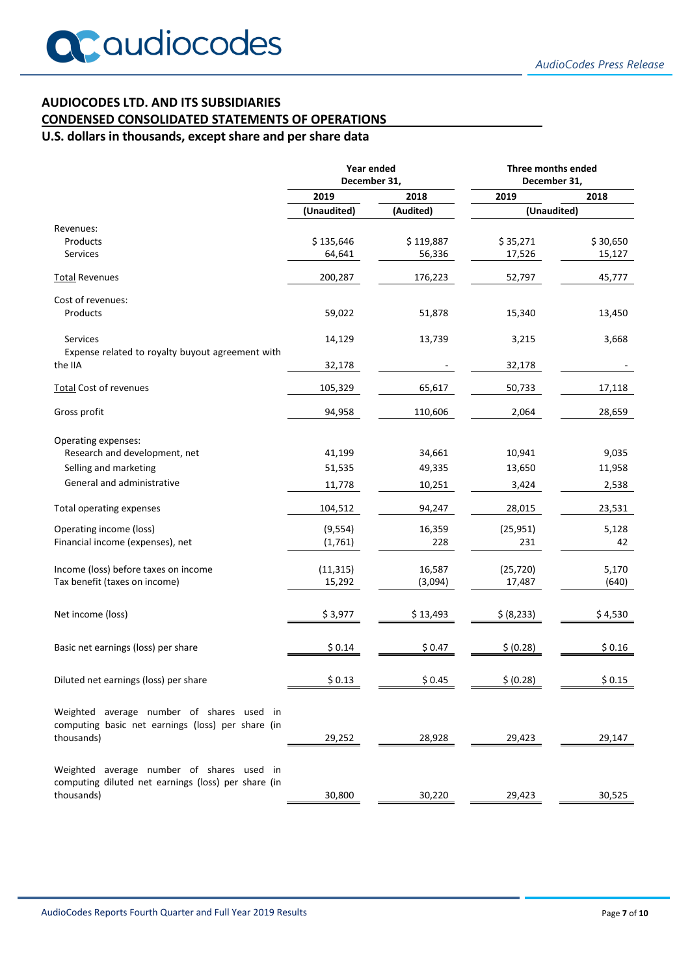

#### **CONDENSED CONSOLIDATED STATEMENTS OF OPERATIONS**

# **U.S. dollars in thousands, except share and per share data**

|                                                             | Year ended<br>December 31, |           | Three months ended<br>December 31, |          |
|-------------------------------------------------------------|----------------------------|-----------|------------------------------------|----------|
|                                                             | 2019                       | 2018      | 2019                               | 2018     |
|                                                             | (Unaudited)                | (Audited) | (Unaudited)                        |          |
| Revenues:                                                   |                            |           |                                    |          |
| Products                                                    | \$135,646                  | \$119,887 | \$35,271                           | \$30,650 |
| Services                                                    | 64,641                     | 56,336    | 17,526                             | 15,127   |
| <b>Total Revenues</b>                                       | 200,287                    | 176,223   | 52,797                             | 45,777   |
| Cost of revenues:                                           |                            |           |                                    |          |
| Products                                                    | 59,022                     | 51,878    | 15,340                             | 13,450   |
| <b>Services</b>                                             | 14,129                     | 13,739    | 3,215                              | 3,668    |
| Expense related to royalty buyout agreement with<br>the IIA | 32,178                     |           | 32,178                             |          |
| <b>Total Cost of revenues</b>                               | 105,329                    | 65,617    | 50,733                             | 17,118   |
| Gross profit                                                | 94,958                     | 110,606   | 2,064                              | 28,659   |
|                                                             |                            |           |                                    |          |
| Operating expenses:                                         |                            |           |                                    |          |
| Research and development, net                               | 41,199                     | 34,661    | 10,941                             | 9,035    |
| Selling and marketing                                       | 51,535                     | 49,335    | 13,650                             | 11,958   |
| General and administrative                                  | 11,778                     | 10,251    | 3,424                              | 2,538    |
| Total operating expenses                                    | 104,512                    | 94,247    | 28,015                             | 23,531   |
| Operating income (loss)                                     | (9, 554)                   | 16,359    | (25, 951)                          | 5,128    |
| Financial income (expenses), net                            | (1,761)                    | 228       | 231                                | 42       |
| Income (loss) before taxes on income                        | (11, 315)                  | 16,587    | (25, 720)                          | 5,170    |
| Tax benefit (taxes on income)                               | 15,292                     | (3,094)   | 17,487                             | (640)    |
| Net income (loss)                                           | \$3,977                    | \$13,493  | \$ (8, 233)                        | \$4,530  |
|                                                             |                            |           |                                    |          |
| Basic net earnings (loss) per share                         | \$0.14                     | \$0.47    | \$ (0.28)                          | \$0.16   |
| Diluted net earnings (loss) per share                       | \$0.13                     | \$0.45    | \$ (0.28)                          | \$0.15   |
|                                                             |                            |           |                                    |          |
| Weighted average number of shares used in                   |                            |           |                                    |          |
| computing basic net earnings (loss) per share (in           |                            |           |                                    |          |
| thousands)                                                  | 29,252                     | 28,928    | 29,423                             | 29,147   |
| Weighted average number of shares used in                   |                            |           |                                    |          |
| computing diluted net earnings (loss) per share (in         |                            |           |                                    |          |
| thousands)                                                  | 30,800                     | 30,220    | 29,423                             | 30,525   |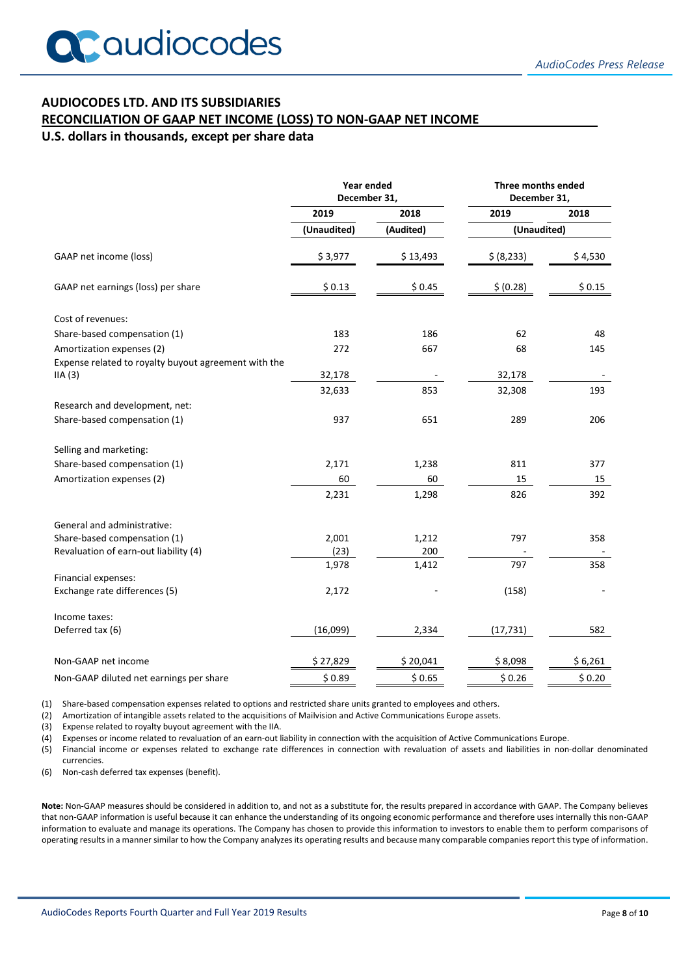# **RECONCILIATION OF GAAP NET INCOME (LOSS) TO NON-GAAP NET INCOME**

### **U.S. dollars in thousands, except per share data**

|                                                      | Year ended<br>December 31, |           | Three months ended<br>December 31, |         |
|------------------------------------------------------|----------------------------|-----------|------------------------------------|---------|
|                                                      | 2019                       | 2018      | 2019                               | 2018    |
|                                                      | (Unaudited)                | (Audited) | (Unaudited)                        |         |
|                                                      |                            |           |                                    |         |
| GAAP net income (loss)                               | \$3,977                    | \$13,493  | \$ (8, 233)                        | \$4,530 |
| GAAP net earnings (loss) per share                   | \$0.13                     | \$0.45    | \$ (0.28)                          | \$0.15  |
| Cost of revenues:                                    |                            |           |                                    |         |
| Share-based compensation (1)                         | 183                        | 186       | 62                                 | 48      |
| Amortization expenses (2)                            | 272                        | 667       | 68                                 | 145     |
| Expense related to royalty buyout agreement with the |                            |           |                                    |         |
| IIA(3)                                               | 32,178                     |           | 32,178                             |         |
|                                                      | 32,633                     | 853       | 32,308                             | 193     |
| Research and development, net:                       |                            |           |                                    |         |
| Share-based compensation (1)                         | 937                        | 651       | 289                                | 206     |
| Selling and marketing:                               |                            |           |                                    |         |
| Share-based compensation (1)                         | 2,171                      | 1,238     | 811                                | 377     |
| Amortization expenses (2)                            | 60                         | 60        | 15                                 | 15      |
|                                                      | 2,231                      | 1,298     | 826                                | 392     |
| General and administrative:                          |                            |           |                                    |         |
| Share-based compensation (1)                         | 2,001                      | 1,212     | 797                                | 358     |
| Revaluation of earn-out liability (4)                | (23)                       | 200       |                                    |         |
|                                                      | 1,978                      | 1,412     | 797                                | 358     |
| Financial expenses:                                  |                            |           |                                    |         |
| Exchange rate differences (5)                        | 2,172                      |           | (158)                              |         |
| Income taxes:                                        |                            |           |                                    |         |
| Deferred tax (6)                                     | (16,099)                   | 2,334     | (17, 731)                          | 582     |
| Non-GAAP net income                                  | \$27,829                   | \$20,041  | \$8,098                            | \$6,261 |
| Non-GAAP diluted net earnings per share              | \$0.89                     | \$0.65    | \$0.26                             | \$0.20  |
|                                                      |                            |           |                                    |         |

(1) Share-based compensation expenses related to options and restricted share units granted to employees and others.

(2) Amortization of intangible assets related to the acquisitions of Mailvision and Active Communications Europe assets.

(3) Expense related to royalty buyout agreement with the IIA.

(4) Expenses or income related to revaluation of an earn-out liability in connection with the acquisition of Active Communications Europe.

(5) Financial income or expenses related to exchange rate differences in connection with revaluation of assets and liabilities in non-dollar denominated currencies.

(6) Non-cash deferred tax expenses (benefit).

**Note:** Non-GAAP measures should be considered in addition to, and not as a substitute for, the results prepared in accordance with GAAP. The Company believes that non-GAAP information is useful because it can enhance the understanding of its ongoing economic performance and therefore uses internally this non-GAAP information to evaluate and manage its operations. The Company has chosen to provide this information to investors to enable them to perform comparisons of operating results in a manner similar to how the Company analyzes its operating results and because many comparable companies report this type of information.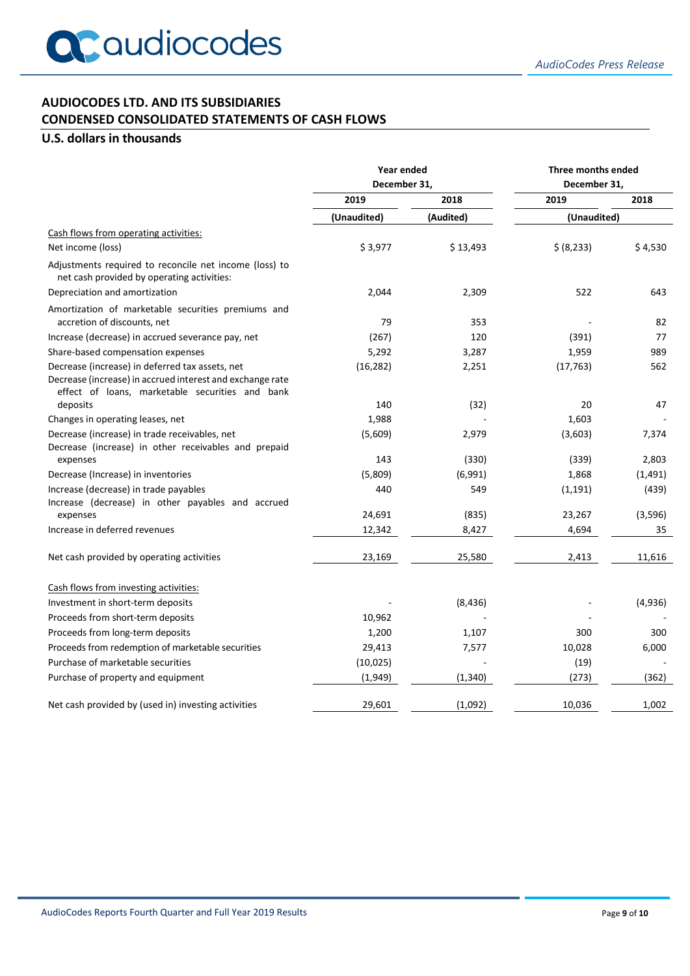# **CONDENSED CONSOLIDATED STATEMENTS OF CASH FLOWS**

# **U.S. dollars in thousands**

|                                                                                                              | Year ended   |           | Three months ended |          |
|--------------------------------------------------------------------------------------------------------------|--------------|-----------|--------------------|----------|
|                                                                                                              | December 31, |           | December 31.       |          |
|                                                                                                              | 2019         | 2018      | 2019               | 2018     |
|                                                                                                              | (Unaudited)  | (Audited) | (Unaudited)        |          |
| Cash flows from operating activities:                                                                        |              |           |                    |          |
| Net income (loss)                                                                                            | \$3,977      | \$13,493  | \$ (8, 233)        | \$4,530  |
| Adjustments required to reconcile net income (loss) to<br>net cash provided by operating activities:         |              |           |                    |          |
| Depreciation and amortization                                                                                | 2,044        | 2,309     | 522                | 643      |
| Amortization of marketable securities premiums and<br>accretion of discounts, net                            | 79           | 353       |                    | 82       |
| Increase (decrease) in accrued severance pay, net                                                            | (267)        | 120       | (391)              | 77       |
| Share-based compensation expenses                                                                            | 5,292        | 3,287     | 1,959              | 989      |
| Decrease (increase) in deferred tax assets, net                                                              | (16, 282)    | 2,251     | (17, 763)          | 562      |
| Decrease (increase) in accrued interest and exchange rate<br>effect of loans, marketable securities and bank |              |           |                    |          |
| deposits                                                                                                     | 140          | (32)      | 20                 | 47       |
| Changes in operating leases, net                                                                             | 1,988        |           | 1,603              |          |
| Decrease (increase) in trade receivables, net                                                                | (5,609)      | 2,979     | (3,603)            | 7,374    |
| Decrease (increase) in other receivables and prepaid                                                         |              |           |                    |          |
| expenses                                                                                                     | 143          | (330)     | (339)              | 2,803    |
| Decrease (Increase) in inventories                                                                           | (5,809)      | (6,991)   | 1,868              | (1, 491) |
| Increase (decrease) in trade payables                                                                        | 440          | 549       | (1, 191)           | (439)    |
| Increase (decrease) in other payables and accrued<br>expenses                                                | 24,691       | (835)     | 23,267             | (3,596)  |
| Increase in deferred revenues                                                                                | 12,342       | 8,427     | 4,694              | 35       |
|                                                                                                              |              |           |                    |          |
| Net cash provided by operating activities                                                                    | 23,169       | 25,580    | 2,413              | 11,616   |
| Cash flows from investing activities:                                                                        |              |           |                    |          |
| Investment in short-term deposits                                                                            |              | (8, 436)  |                    | (4,936)  |
| Proceeds from short-term deposits                                                                            | 10,962       |           |                    |          |
| Proceeds from long-term deposits                                                                             | 1,200        | 1,107     | 300                | 300      |
| Proceeds from redemption of marketable securities                                                            | 29,413       | 7,577     | 10,028             | 6,000    |
| Purchase of marketable securities                                                                            | (10, 025)    |           | (19)               |          |
| Purchase of property and equipment                                                                           | (1,949)      | (1, 340)  | (273)              | (362)    |
| Net cash provided by (used in) investing activities                                                          | 29,601       | (1,092)   | 10,036             | 1,002    |